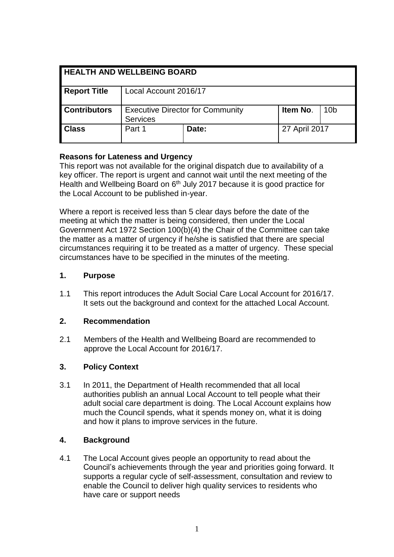| <b>HEALTH AND WELLBEING BOARD</b> |                                                            |       |               |                 |
|-----------------------------------|------------------------------------------------------------|-------|---------------|-----------------|
| <b>Report Title</b>               | Local Account 2016/17                                      |       |               |                 |
| <b>Contributors</b>               | <b>Executive Director for Community</b><br><b>Services</b> |       | Item No.      | 10 <sub>b</sub> |
| <b>Class</b>                      | Part 1                                                     | Date: | 27 April 2017 |                 |

#### **Reasons for Lateness and Urgency**

This report was not available for the original dispatch due to availability of a key officer. The report is urgent and cannot wait until the next meeting of the Health and Wellbeing Board on 6<sup>th</sup> July 2017 because it is good practice for the Local Account to be published in-year.

Where a report is received less than 5 clear days before the date of the meeting at which the matter is being considered, then under the Local Government Act 1972 Section 100(b)(4) the Chair of the Committee can take the matter as a matter of urgency if he/she is satisfied that there are special circumstances requiring it to be treated as a matter of urgency. These special circumstances have to be specified in the minutes of the meeting.

#### **1. Purpose**

1.1 This report introduces the Adult Social Care Local Account for 2016/17. It sets out the background and context for the attached Local Account.

## **2. Recommendation**

2.1 Members of the Health and Wellbeing Board are recommended to approve the Local Account for 2016/17.

## **3. Policy Context**

3.1 In 2011, the Department of Health recommended that all local authorities publish an annual Local Account to tell people what their adult social care department is doing. The Local Account explains how much the Council spends, what it spends money on, what it is doing and how it plans to improve services in the future.

## **4. Background**

4.1 The Local Account gives people an opportunity to read about the Council's achievements through the year and priorities going forward. It supports a regular cycle of self-assessment, consultation and review to enable the Council to deliver high quality services to residents who have care or support needs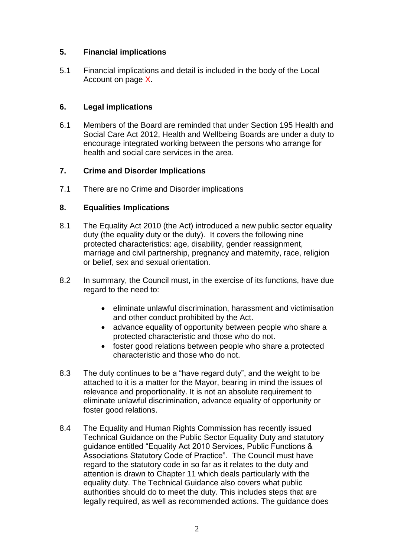## **5. Financial implications**

5.1 Financial implications and detail is included in the body of the Local Account on page X.

# **6. Legal implications**

6.1 Members of the Board are reminded that under Section 195 Health and Social Care Act 2012, Health and Wellbeing Boards are under a duty to encourage integrated working between the persons who arrange for health and social care services in the area.

# **7. Crime and Disorder Implications**

7.1 There are no Crime and Disorder implications

# **8. Equalities Implications**

- 8.1 The Equality Act 2010 (the Act) introduced a new public sector equality duty (the equality duty or the duty). It covers the following nine protected characteristics: age, disability, gender reassignment, marriage and civil partnership, pregnancy and maternity, race, religion or belief, sex and sexual orientation.
- 8.2 In summary, the Council must, in the exercise of its functions, have due regard to the need to:
	- eliminate unlawful discrimination, harassment and victimisation and other conduct prohibited by the Act.
	- advance equality of opportunity between people who share a protected characteristic and those who do not.
	- foster good relations between people who share a protected characteristic and those who do not.
- 8.3 The duty continues to be a "have regard duty", and the weight to be attached to it is a matter for the Mayor, bearing in mind the issues of relevance and proportionality. It is not an absolute requirement to eliminate unlawful discrimination, advance equality of opportunity or foster good relations.
- 8.4 The Equality and Human Rights Commission has recently issued Technical Guidance on the Public Sector Equality Duty and statutory guidance entitled "Equality Act 2010 Services, Public Functions & Associations Statutory Code of Practice". The Council must have regard to the statutory code in so far as it relates to the duty and attention is drawn to Chapter 11 which deals particularly with the equality duty. The Technical Guidance also covers what public authorities should do to meet the duty. This includes steps that are legally required, as well as recommended actions. The guidance does